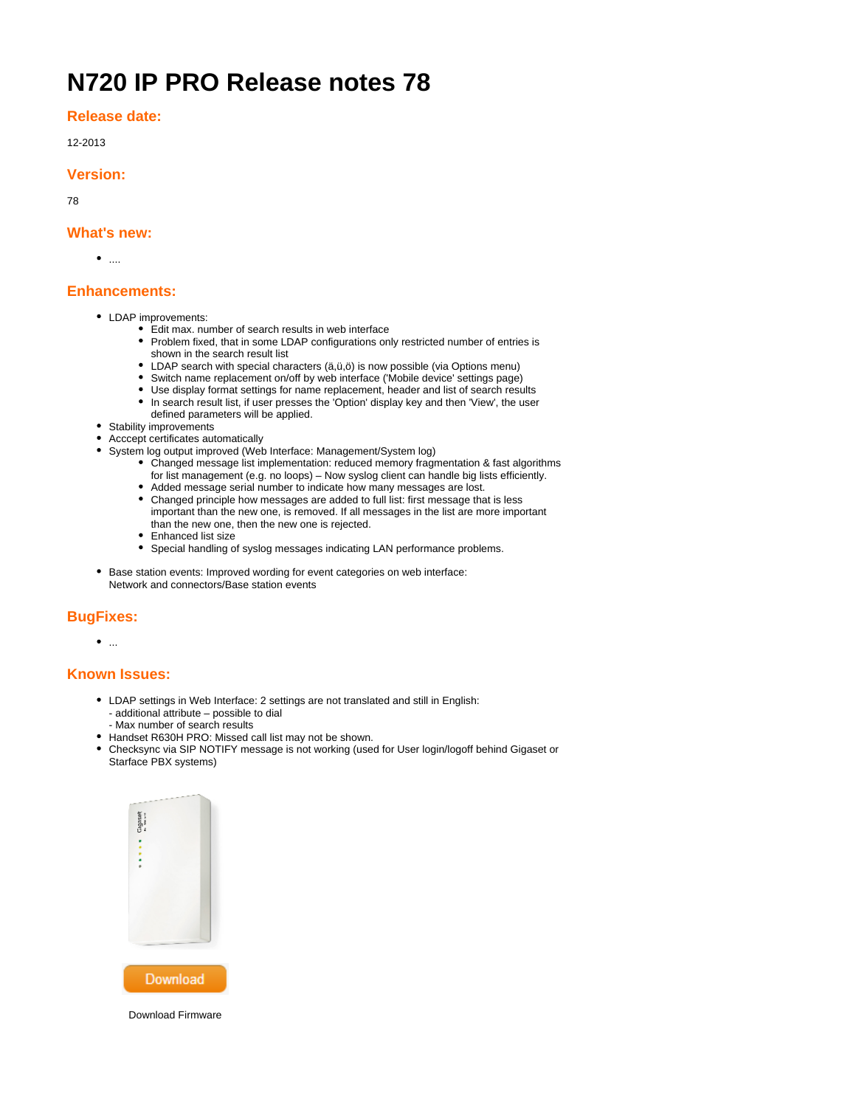# **N720 IP PRO Release notes 78**

**Release date:**

12-2013

### **Version:**

78

### **What's new:**

 $\bullet$  ....

# **Enhancements:**

- LDAP improvements:
	- Edit max. number of search results in web interface
	- Problem fixed, that in some LDAP configurations only restricted number of entries is shown in the search result list
	- LDAP search with special characters (ä,ü,ö) is now possible (via Options menu)
	- Switch name replacement on/off by web interface ('Mobile device' settings page)
	- Use display format settings for name replacement, header and list of search results • In search result list, if user presses the 'Option' display key and then 'View', the user
	- defined parameters will be applied.
- Stability improvements
- Acccept certificates automatically
- System log output improved (Web Interface: Management/System log)
	- Changed message list implementation: reduced memory fragmentation & fast algorithms for list management (e.g. no loops) – Now syslog client can handle big lists efficiently.
	- Added message serial number to indicate how many messages are lost.
	- Changed principle how messages are added to full list: first message that is less important than the new one, is removed. If all messages in the list are more important than the new one, then the new one is rejected.
	- Enhanced list size
	- Special handling of syslog messages indicating LAN performance problems.
- Base station events: Improved wording for event categories on web interface: Network and connectors/Base station events

## **BugFixes:**

 $\bullet$  ...

## **Known Issues:**

- LDAP settings in Web Interface: 2 settings are not translated and still in English: - additional attribute – possible to dial
	- Max number of search results
- Handset R630H PRO: Missed call list may not be shown.
- Checksync via SIP NOTIFY message is not working (used for User login/logoff behind Gigaset or Starface PBX systems)



Download Firmware